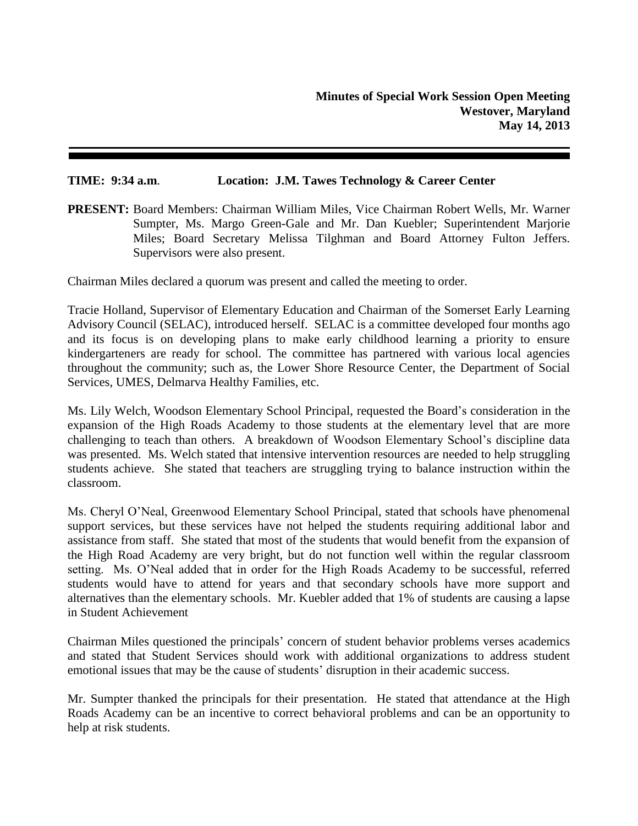#### **TIME: 9:34 a.m**. **Location: J.M. Tawes Technology & Career Center**

**PRESENT:** Board Members: Chairman William Miles, Vice Chairman Robert Wells, Mr. Warner Sumpter, Ms. Margo Green-Gale and Mr. Dan Kuebler; Superintendent Marjorie Miles; Board Secretary Melissa Tilghman and Board Attorney Fulton Jeffers. Supervisors were also present.

Chairman Miles declared a quorum was present and called the meeting to order.

Tracie Holland, Supervisor of Elementary Education and Chairman of the Somerset Early Learning Advisory Council (SELAC), introduced herself. SELAC is a committee developed four months ago and its focus is on developing plans to make early childhood learning a priority to ensure kindergarteners are ready for school. The committee has partnered with various local agencies throughout the community; such as, the Lower Shore Resource Center, the Department of Social Services, UMES, Delmarva Healthy Families, etc.

Ms. Lily Welch, Woodson Elementary School Principal, requested the Board's consideration in the expansion of the High Roads Academy to those students at the elementary level that are more challenging to teach than others. A breakdown of Woodson Elementary School's discipline data was presented. Ms. Welch stated that intensive intervention resources are needed to help struggling students achieve. She stated that teachers are struggling trying to balance instruction within the classroom.

Ms. Cheryl O'Neal, Greenwood Elementary School Principal, stated that schools have phenomenal support services, but these services have not helped the students requiring additional labor and assistance from staff. She stated that most of the students that would benefit from the expansion of the High Road Academy are very bright, but do not function well within the regular classroom setting. Ms. O'Neal added that in order for the High Roads Academy to be successful, referred students would have to attend for years and that secondary schools have more support and alternatives than the elementary schools. Mr. Kuebler added that 1% of students are causing a lapse in Student Achievement

Chairman Miles questioned the principals' concern of student behavior problems verses academics and stated that Student Services should work with additional organizations to address student emotional issues that may be the cause of students' disruption in their academic success.

Mr. Sumpter thanked the principals for their presentation. He stated that attendance at the High Roads Academy can be an incentive to correct behavioral problems and can be an opportunity to help at risk students.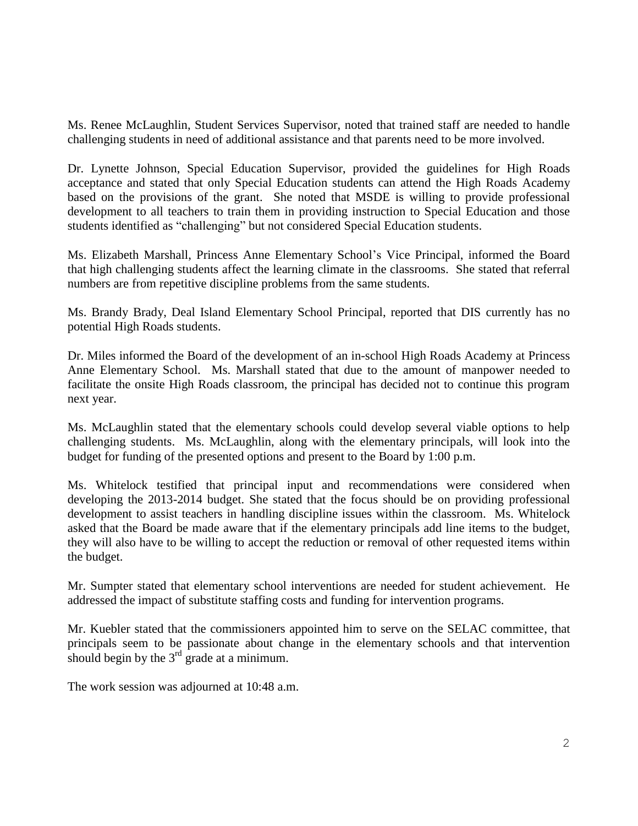Ms. Renee McLaughlin, Student Services Supervisor, noted that trained staff are needed to handle challenging students in need of additional assistance and that parents need to be more involved.

Dr. Lynette Johnson, Special Education Supervisor, provided the guidelines for High Roads acceptance and stated that only Special Education students can attend the High Roads Academy based on the provisions of the grant. She noted that MSDE is willing to provide professional development to all teachers to train them in providing instruction to Special Education and those students identified as "challenging" but not considered Special Education students.

Ms. Elizabeth Marshall, Princess Anne Elementary School's Vice Principal, informed the Board that high challenging students affect the learning climate in the classrooms. She stated that referral numbers are from repetitive discipline problems from the same students.

Ms. Brandy Brady, Deal Island Elementary School Principal, reported that DIS currently has no potential High Roads students.

Dr. Miles informed the Board of the development of an in-school High Roads Academy at Princess Anne Elementary School. Ms. Marshall stated that due to the amount of manpower needed to facilitate the onsite High Roads classroom, the principal has decided not to continue this program next year.

Ms. McLaughlin stated that the elementary schools could develop several viable options to help challenging students. Ms. McLaughlin, along with the elementary principals, will look into the budget for funding of the presented options and present to the Board by 1:00 p.m.

Ms. Whitelock testified that principal input and recommendations were considered when developing the 2013-2014 budget. She stated that the focus should be on providing professional development to assist teachers in handling discipline issues within the classroom. Ms. Whitelock asked that the Board be made aware that if the elementary principals add line items to the budget, they will also have to be willing to accept the reduction or removal of other requested items within the budget.

Mr. Sumpter stated that elementary school interventions are needed for student achievement. He addressed the impact of substitute staffing costs and funding for intervention programs.

Mr. Kuebler stated that the commissioners appointed him to serve on the SELAC committee, that principals seem to be passionate about change in the elementary schools and that intervention should begin by the  $3<sup>rd</sup>$  grade at a minimum.

The work session was adjourned at 10:48 a.m.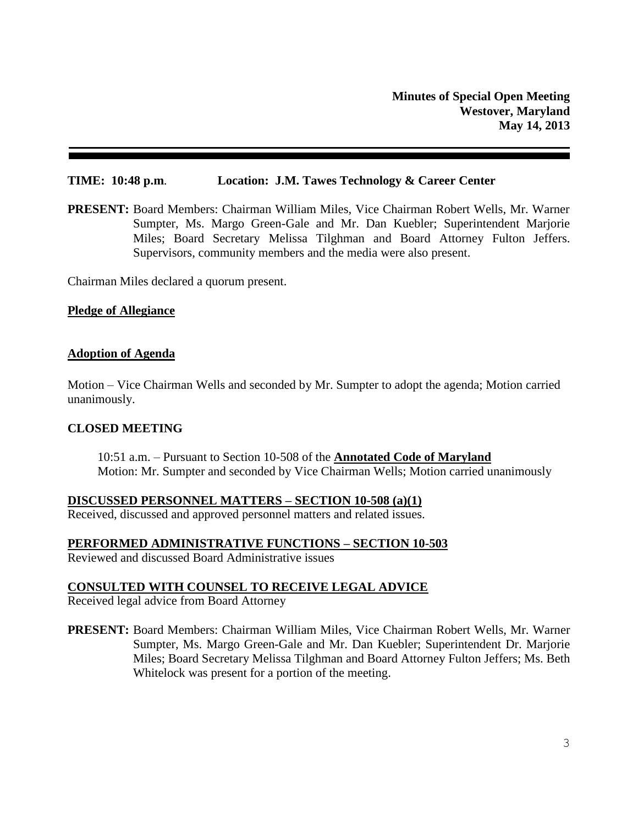#### **TIME: 10:48 p.m**. **Location: J.M. Tawes Technology & Career Center**

**PRESENT:** Board Members: Chairman William Miles, Vice Chairman Robert Wells, Mr. Warner Sumpter, Ms. Margo Green-Gale and Mr. Dan Kuebler; Superintendent Marjorie Miles; Board Secretary Melissa Tilghman and Board Attorney Fulton Jeffers. Supervisors, community members and the media were also present.

Chairman Miles declared a quorum present.

#### **Pledge of Allegiance**

#### **Adoption of Agenda**

Motion – Vice Chairman Wells and seconded by Mr. Sumpter to adopt the agenda; Motion carried unanimously.

### **CLOSED MEETING**

10:51 a.m. – Pursuant to Section 10-508 of the **Annotated Code of Maryland** Motion: Mr. Sumpter and seconded by Vice Chairman Wells; Motion carried unanimously

# **DISCUSSED PERSONNEL MATTERS – SECTION 10-508 (a)(1)**

Received, discussed and approved personnel matters and related issues.

**PERFORMED ADMINISTRATIVE FUNCTIONS – SECTION 10-503**

Reviewed and discussed Board Administrative issues

#### **CONSULTED WITH COUNSEL TO RECEIVE LEGAL ADVICE**

Received legal advice from Board Attorney

**PRESENT:** Board Members: Chairman William Miles, Vice Chairman Robert Wells, Mr. Warner Sumpter, Ms. Margo Green-Gale and Mr. Dan Kuebler; Superintendent Dr. Marjorie Miles; Board Secretary Melissa Tilghman and Board Attorney Fulton Jeffers; Ms. Beth Whitelock was present for a portion of the meeting.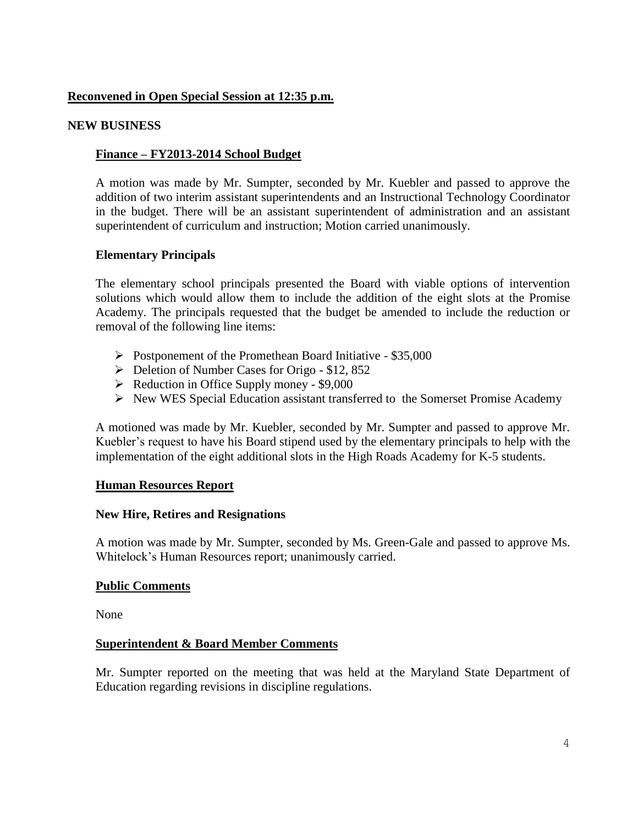# **Reconvened in Open Special Session at 12:35 p.m.**

## **NEW BUSINESS**

## **Finance – FY2013-2014 School Budget**

A motion was made by Mr. Sumpter, seconded by Mr. Kuebler and passed to approve the addition of two interim assistant superintendents and an Instructional Technology Coordinator in the budget. There will be an assistant superintendent of administration and an assistant superintendent of curriculum and instruction; Motion carried unanimously.

### **Elementary Principals**

The elementary school principals presented the Board with viable options of intervention solutions which would allow them to include the addition of the eight slots at the Promise Academy. The principals requested that the budget be amended to include the reduction or removal of the following line items:

- $\triangleright$  Postponement of the Promethean Board Initiative \$35,000
- $\triangleright$  Deletion of Number Cases for Origo \$12, 852
- $\blacktriangleright$  Reduction in Office Supply money \$9,000
- $\triangleright$  New WES Special Education assistant transferred to the Somerset Promise Academy

A motioned was made by Mr. Kuebler, seconded by Mr. Sumpter and passed to approve Mr. Kuebler's request to have his Board stipend used by the elementary principals to help with the implementation of the eight additional slots in the High Roads Academy for K-5 students.

### **Human Resources Report**

### **New Hire, Retires and Resignations**

A motion was made by Mr. Sumpter, seconded by Ms. Green-Gale and passed to approve Ms. Whitelock's Human Resources report; unanimously carried.

### **Public Comments**

None

### **Superintendent & Board Member Comments**

Mr. Sumpter reported on the meeting that was held at the Maryland State Department of Education regarding revisions in discipline regulations.